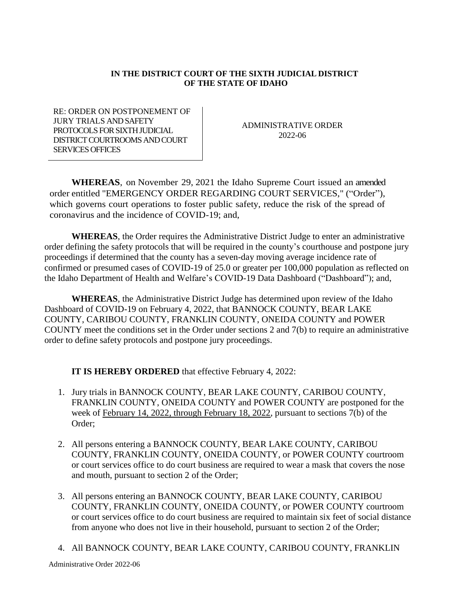## **IN THE DISTRICT COURT OF THE SIXTH JUDICIAL DISTRICT OF THE STATE OF IDAHO**

RE: ORDER ON POSTPONEMENT OF JURY TRIALS AND SAFETY PROTOCOLS FOR SIXTH JUDICIAL DISTRICT COURTROOMS AND COURT SERVICES OFFICES

ADMINISTRATIVE ORDER 2022-06

**WHEREAS**, on November 29, 2021 the Idaho Supreme Court issued an amended order entitled "EMERGENCY ORDER REGARDING COURT SERVICES," ("Order"), which governs court operations to foster public safety, reduce the risk of the spread of coronavirus and the incidence of COVID-19; and,

**WHEREAS**, the Order requires the Administrative District Judge to enter an administrative order defining the safety protocols that will be required in the county's courthouse and postpone jury proceedings if determined that the county has a seven-day moving average incidence rate of confirmed or presumed cases of COVID-19 of 25.0 or greater per 100,000 population as reflected on the Idaho Department of Health and Welfare's COVID-19 Data Dashboard ("Dashboard"); and,

**WHEREAS**, the Administrative District Judge has determined upon review of the Idaho Dashboard of COVID-19 on February 4, 2022, that BANNOCK COUNTY, BEAR LAKE COUNTY, CARIBOU COUNTY, FRANKLIN COUNTY, ONEIDA COUNTY and POWER COUNTY meet the conditions set in the Order under sections 2 and 7(b) to require an administrative order to define safety protocols and postpone jury proceedings.

**IT IS HEREBY ORDERED** that effective February 4, 2022:

- 1. Jury trials in BANNOCK COUNTY, BEAR LAKE COUNTY, CARIBOU COUNTY, FRANKLIN COUNTY, ONEIDA COUNTY and POWER COUNTY are postponed for the week of February 14, 2022, through February 18, 2022, pursuant to sections 7(b) of the Order;
- 2. All persons entering a BANNOCK COUNTY, BEAR LAKE COUNTY, CARIBOU COUNTY, FRANKLIN COUNTY, ONEIDA COUNTY, or POWER COUNTY courtroom or court services office to do court business are required to wear a mask that covers the nose and mouth, pursuant to section 2 of the Order;
- 3. All persons entering an BANNOCK COUNTY, BEAR LAKE COUNTY, CARIBOU COUNTY, FRANKLIN COUNTY, ONEIDA COUNTY, or POWER COUNTY courtroom or court services office to do court business are required to maintain six feet of social distance from anyone who does not live in their household, pursuant to section 2 of the Order;
- 4. All BANNOCK COUNTY, BEAR LAKE COUNTY, CARIBOU COUNTY, FRANKLIN